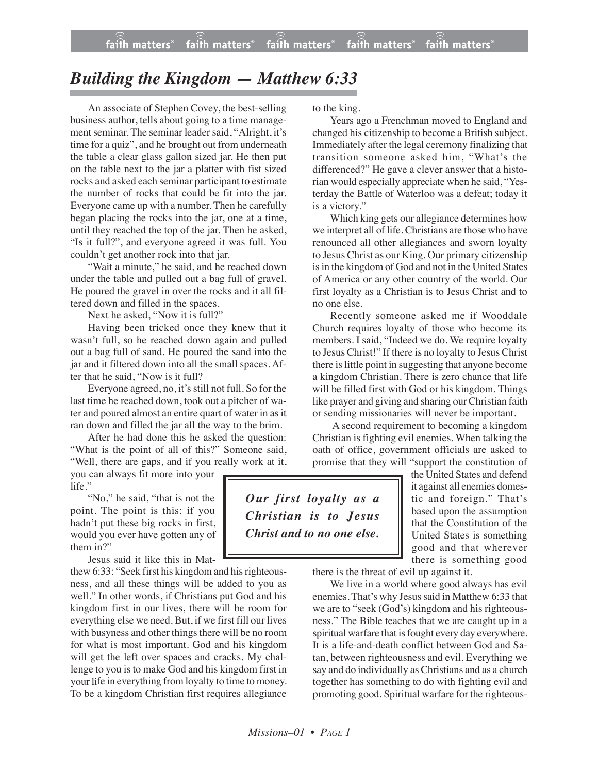## *Building the Kingdom — Matthew 6:33*

An associate of Stephen Covey, the best-selling business author, tells about going to a time management seminar. The seminar leader said, "Alright, it's time for a quiz", and he brought out from underneath the table a clear glass gallon sized jar. He then put on the table next to the jar a platter with fist sized rocks and asked each seminar participant to estimate the number of rocks that could be fit into the jar. Everyone came up with a number. Then he carefully began placing the rocks into the jar, one at a time, until they reached the top of the jar. Then he asked, "Is it full?", and everyone agreed it was full. You couldn't get another rock into that jar.

"Wait a minute," he said, and he reached down under the table and pulled out a bag full of gravel. He poured the gravel in over the rocks and it all filtered down and filled in the spaces.

Next he asked, "Now it is full?"

Having been tricked once they knew that it wasn't full, so he reached down again and pulled out a bag full of sand. He poured the sand into the jar and it filtered down into all the small spaces. After that he said, "Now is it full?

Everyone agreed, no, it's still not full. So for the last time he reached down, took out a pitcher of water and poured almost an entire quart of water in as it ran down and filled the jar all the way to the brim.

After he had done this he asked the question: "What is the point of all of this?" Someone said, "Well, there are gaps, and if you really work at it,

you can always fit more into your life."

"No," he said, "that is not the point. The point is this: if you hadn't put these big rocks in first, would you ever have gotten any of them in?"

Jesus said it like this in Mat-

thew 6:33: "Seek first his kingdom and his righteousness, and all these things will be added to you as well." In other words, if Christians put God and his kingdom first in our lives, there will be room for everything else we need. But, if we first fill our lives with busyness and other things there will be no room for what is most important. God and his kingdom will get the left over spaces and cracks. My challenge to you is to make God and his kingdom first in your life in everything from loyalty to time to money. To be a kingdom Christian first requires allegiance

to the king.

Years ago a Frenchman moved to England and changed his citizenship to become a British subject. Immediately after the legal ceremony finalizing that transition someone asked him, "What's the differenced?" He gave a clever answer that a historian would especially appreciate when he said, "Yesterday the Battle of Waterloo was a defeat; today it is a victory."

Which king gets our allegiance determines how we interpret all of life. Christians are those who have renounced all other allegiances and sworn loyalty to Jesus Christ as our King. Our primary citizenship is in the kingdom of God and not in the United States of America or any other country of the world. Our first loyalty as a Christian is to Jesus Christ and to no one else.

Recently someone asked me if Wooddale Church requires loyalty of those who become its members. I said, "Indeed we do. We require loyalty to Jesus Christ!" If there is no loyalty to Jesus Christ there islittle point in suggesting that anyone become a kingdom Christian. There is zero chance that life will be filled first with God or his kingdom. Things like prayer and giving and sharing our Christian faith or sending missionaries will never be important.

A second requirement to becoming a kingdom Christian is fighting evil enemies. When talking the oath of office, government officials are asked to promise that they will "support the constitution of

*Our first loyalty as a Christian is to Jesus Christ and to no one else.*

the United States and defend it against all enemies domestic and foreign." That's based upon the assumption that the Constitution of the United States is something good and that wherever there is something good

there is the threat of evil up against it.

We live in a world where good always has evil enemies. That's why Jesus said in Matthew 6:33 that we are to "seek (God's) kingdom and his righteousness." The Bible teaches that we are caught up in a spiritual warfare that is fought every day everywhere. It is a life-and-death conflict between God and Satan, between righteousness and evil. Everything we say and do individually as Christians and as a church together has something to do with fighting evil and promoting good. Spiritual warfare for the righteous